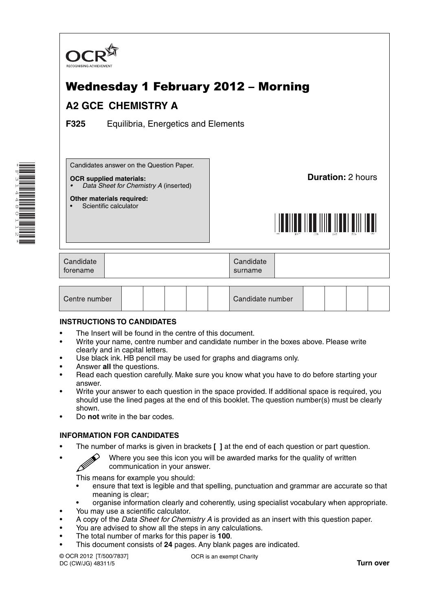

# Wednesday 1 February 2012 – Morning

## **A2 GCE CHEMISTRY A**

**F325** Equilibria, Energetics and Elements

Candidates answer on the Question Paper.

#### **OCR supplied materials:**

**Other materials required:** Scientific calculator

*• Data Sheet for Chemistry A* (inserted)

**Duration:** 2 hours



| Candidate | Candidate |  |
|-----------|-----------|--|
| torename  | surname   |  |
|           |           |  |

| Centre number |  |  |  |  |  | Candidate number |  |  |  |  |  |
|---------------|--|--|--|--|--|------------------|--|--|--|--|--|
|---------------|--|--|--|--|--|------------------|--|--|--|--|--|

## **INSTRUCTIONS TO CANDIDATES**

- The Insert will be found in the centre of this document.
- Write your name, centre number and candidate number in the boxes above. Please write clearly and in capital letters.
- Use black ink. HB pencil may be used for graphs and diagrams only.
- Answer **all** the questions.
- Read each question carefully. Make sure you know what you have to do before starting your answer.
- Write your answer to each question in the space provided. If additional space is required, you should use the lined pages at the end of this booklet. The question number(s) must be clearly shown.
- Do **not** write in the bar codes.

## **INFORMATION FOR CANDIDATES**

- The number of marks is given in brackets **[ ]** at the end of each question or part question.
	- Where you see this icon you will be awarded marks for the quality of written communication in your answer.

This means for example you should:

- ensure that text is legible and that spelling, punctuation and grammar are accurate so that meaning is clear;
- organise information clearly and coherently, using specialist vocabulary when appropriate.
- You may use a scientific calculator.
- A copy of the *Data Sheet for Chemistry A* is provided as an insert with this question paper.
- You are advised to show all the steps in any calculations.
- The total number of marks for this paper is **100**.
- This document consists of **24** pages. Any blank pages are indicated.

© OCR 2012 [T/500/7837] DC (CW/JG) 48311/5

OCR is an exempt Charity

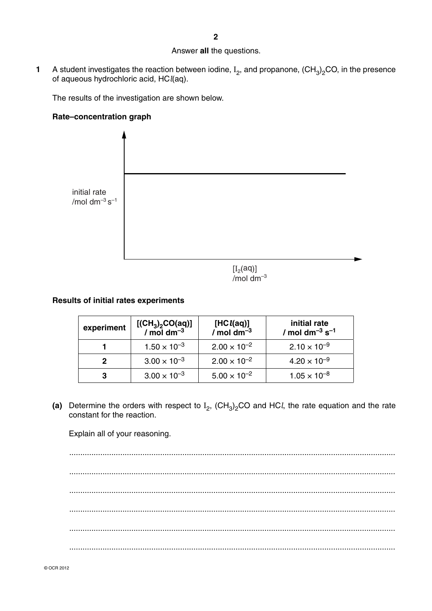#### Answer **all** the questions.

**1** A student investigates the reaction between iodine,  $I_2$ , and propanone,  $(CH_3)_2CO$ , in the presence of aqueous hydrochloric acid, HC*l*(aq).

The results of the investigation are shown below.

## **Rate–concentration graph**



 $[I<sub>2</sub>(aq)]$  $/mol$  dm<sup>-3</sup>

## **Results of initial rates experiments**

| experiment | $[(CH3)2CO(aq)]$<br>/ mol dm <sup>-3</sup> | [HC $l$ (aq)]<br>/ mol dm <sup>-3</sup> | initial rate<br>/ mol dm <sup>-3</sup> s <sup>-1</sup> |
|------------|--------------------------------------------|-----------------------------------------|--------------------------------------------------------|
|            | $1.50 \times 10^{-3}$                      | $2.00 \times 10^{-2}$                   | $2.10 \times 10^{-9}$                                  |
| 2          | $3.00 \times 10^{-3}$                      | $2.00 \times 10^{-2}$                   | $4.20 \times 10^{-9}$                                  |
| 3          | $3.00 \times 10^{-3}$                      | $5.00 \times 10^{-2}$                   | $1.05 \times 10^{-8}$                                  |

(a) Determine the orders with respect to  $I_2$ ,  $(CH_3)_2$ CO and HC*l*, the rate equation and the rate constant for the reaction.

Explain all of your reasoning.

 ................................................................................................................................................... ................................................................................................................................................... ................................................................................................................................................... ................................................................................................................................................... ................................................................................................................................................... ...................................................................................................................................................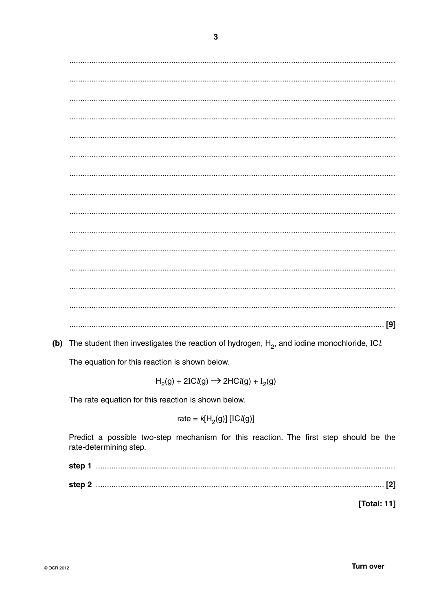(b) The student then investigates the reaction of hydrogen,  $H_2$ , and iodine monochloride, ICl.

The equation for this reaction is shown below.

 $H_2(g) + 2ICl(g) \rightarrow 2HCl(g) + I_2(g)$ 

The rate equation for this reaction is shown below.

rate = 
$$
k[H_2(g)]
$$
 [IC $l(g)$ ]

Predict a possible two-step mechanism for this reaction. The first step should be the rate-determining step.

| step : |  |
|--------|--|
| step 2 |  |

[Total: 11]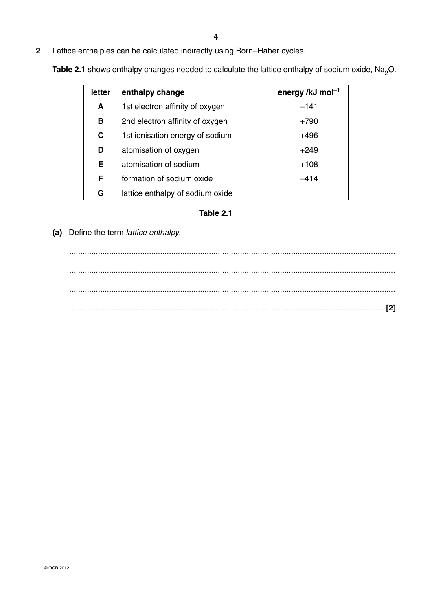**2** Lattice enthalpies can be calculated indirectly using Born–Haber cycles.

**Table 2.1** shows enthalpy changes needed to calculate the lattice enthalpy of sodium oxide, Na<sub>2</sub>O.

| letter | enthalpy change                  | energy /kJ mol <sup>-1</sup> |
|--------|----------------------------------|------------------------------|
| A      | 1st electron affinity of oxygen  | $-141$                       |
| в      | 2nd electron affinity of oxygen  | $+790$                       |
| C      | 1st ionisation energy of sodium  | +496                         |
| D      | atomisation of oxygen            | $+249$                       |
| Е      | atomisation of sodium            | $+108$                       |
| F      | formation of sodium oxide        | $-414$                       |
| G      | lattice enthalpy of sodium oxide |                              |

## **Table 2.1**

 **(a)** Define the term *lattice enthalpy*.

 ................................................................................................................................................... ................................................................................................................................................... ................................................................................................................................................... .............................................................................................................................................. **[2]**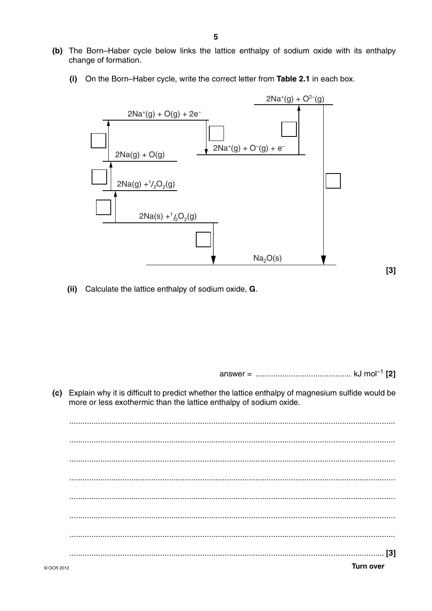- (b) The Born-Haber cycle below links the lattice enthalpy of sodium oxide with its enthalpy change of formation.
	- $(i)$ On the Born-Haber cycle, write the correct letter from Table 2.1 in each box.



(ii) Calculate the lattice enthalpy of sodium oxide, G.

 $[3]$ 

(c) Explain why it is difficult to predict whether the lattice enthalpy of magnesium sulfide would be more or less exothermic than the lattice enthalpy of sodium oxide.

**Turn over**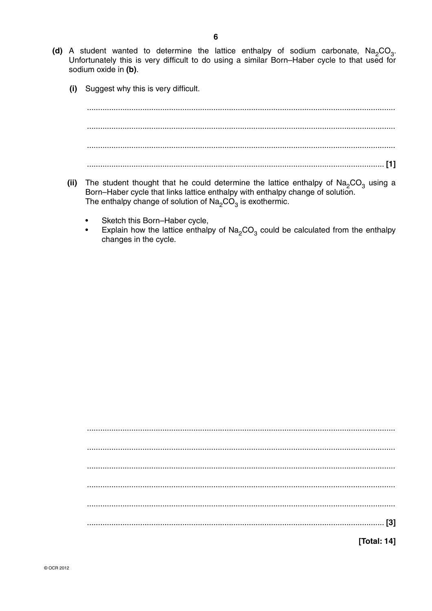- (d) A student wanted to determine the lattice enthalpy of sodium carbonate,  $Na<sub>2</sub>CO<sub>3</sub>$ . Unfortunately this is very difficult to do using a similar Born-Haber cycle to that used for sodium oxide in (b).
	- (i) Suggest why this is very difficult.

- (ii) The student thought that he could determine the lattice enthalpy of  $\text{Na}_2\text{CO}_3$  using a Born-Haber cycle that links lattice enthalpy with enthalpy change of solution. The enthalpy change of solution of  $\text{Na}_2\text{CO}_3$  is exothermic.
	- Sketch this Born-Haber cycle,
	- Explain how the lattice enthalpy of  $\text{Na}_2\text{CO}_3$  could be calculated from the enthalpy changes in the cycle.

[Total: 14]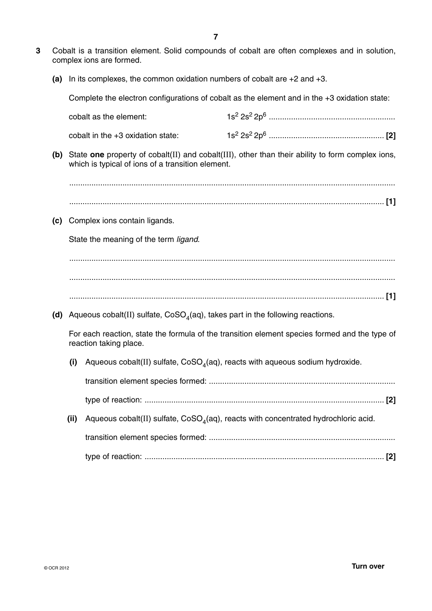- **3** Cobalt is a transition element. Solid compounds of cobalt are often complexes and in solution, complex ions are formed.
	- **(a)** In its complexes, the common oxidation numbers of cobalt are +2 and +3.

Complete the electron configurations of cobalt as the element and in the +3 oxidation state:

|     |      | cobalt as the element:                                                           |                                                                                                        |
|-----|------|----------------------------------------------------------------------------------|--------------------------------------------------------------------------------------------------------|
|     |      | cobalt in the +3 oxidation state:                                                |                                                                                                        |
|     |      | which is typical of ions of a transition element.                                | (b) State one property of cobalt(II) and cobalt(III), other than their ability to form complex ions,   |
|     |      |                                                                                  |                                                                                                        |
|     |      |                                                                                  |                                                                                                        |
| (c) |      | Complex ions contain ligands.                                                    |                                                                                                        |
|     |      | State the meaning of the term ligand.                                            |                                                                                                        |
|     |      |                                                                                  |                                                                                                        |
|     |      |                                                                                  |                                                                                                        |
|     |      |                                                                                  |                                                                                                        |
|     |      |                                                                                  |                                                                                                        |
| (d) |      | Aqueous cobalt(II) sulfate, $CoSO4(aq)$ , takes part in the following reactions. |                                                                                                        |
|     |      | reaction taking place.                                                           | For each reaction, state the formula of the transition element species formed and the type of          |
|     | (i)  | Aqueous cobalt(II) sulfate, $CoSO4(aq)$ , reacts with aqueous sodium hydroxide.  |                                                                                                        |
|     |      |                                                                                  |                                                                                                        |
|     |      |                                                                                  |                                                                                                        |
|     | (ii) |                                                                                  | Aqueous $\text{cobalt(II)}$ sulfate, $\text{CoSO}_4(aq)$ , reacts with concentrated hydrochloric acid. |
|     |      |                                                                                  |                                                                                                        |
|     |      |                                                                                  |                                                                                                        |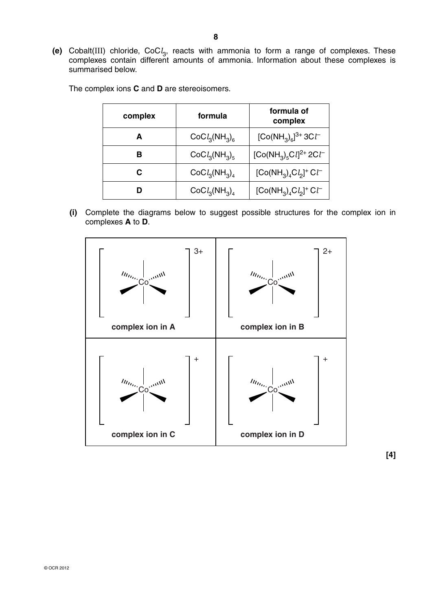**(e)** Cobalt(III) chloride, CoC*l* 3, reacts with ammonia to form a range of complexes. These complexes contain different amounts of ammonia. Information about these complexes is summarised below.

| complex | formula       | formula of<br>complex                                                 |  |
|---------|---------------|-----------------------------------------------------------------------|--|
| А       | $CoCl3(NH3)6$ | $[Co(NH_3)_6]^{3+}3Cl^-$                                              |  |
| R       | $CoCl3(NH3)5$ | [Co(NH <sub>3</sub> ) <sub>5</sub> Cl <sup>2+</sup> 2Cl <sup>-1</sup> |  |
| C.      | $CoCl3(NH3)4$ | $[Co(NH_3)_4Cl_2]^+Cl^-$                                              |  |
|         | $CoCl3(NH3)4$ | $[Co(NH_3)_4Cl_2]^+Cl^-$                                              |  |

The complex ions **C** and **D** are stereoisomers.

 **(i)** Complete the diagrams below to suggest possible structures for the complex ion in complexes **A** to **D**.



**[4]**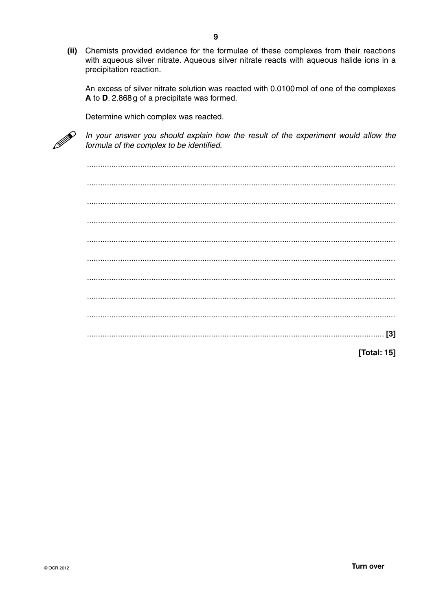(ii) Chemists provided evidence for the formulae of these complexes from their reactions with aqueous silver nitrate. Aqueous silver nitrate reacts with aqueous halide ions in a precipitation reaction.

An excess of silver nitrate solution was reacted with 0.0100 mol of one of the complexes A to D. 2.868 g of a precipitate was formed.

Determine which complex was reacted.



In your answer you should explain how the result of the experiment would allow the formula of the complex to be identified.

[Total: 15]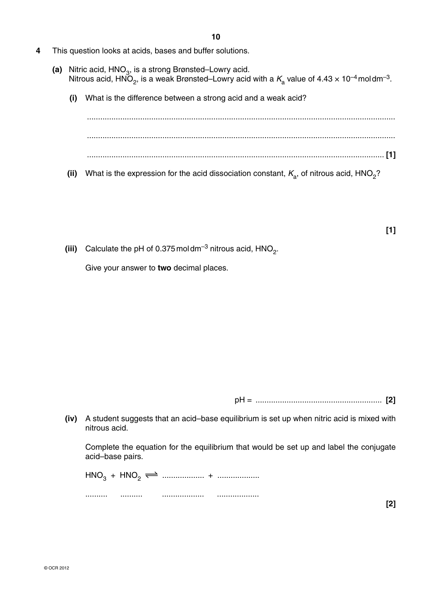- **4** This question looks at acids, bases and buffer solutions.
	- (a) Nitric acid, HNO<sub>3</sub>, is a strong Brønsted–Lowry acid. Nitrous acid,  $\overrightarrow{HNO}_2$ , is a weak Brønsted–Lowry acid with a  $K_a$  value of 4.43  $\times$  10<sup>-4</sup> moldm<sup>-3</sup>.
		- **(i)** What is the difference between a strong acid and a weak acid?

 ........................................................................................................................................... ........................................................................................................................................... ...................................................................................................................................... **[1]**

**(ii)** What is the expression for the acid dissociation constant,  $K_a$ , of nitrous acid, HNO<sub>2</sub>?

**[1]**

**(iii)** Calculate the pH of 0.375 moldm<sup>-3</sup> nitrous acid,  $HNO<sub>2</sub>$ .

Give your answer to **two** decimal places.

pH = ......................................................... **[2]**

 **(iv)** A student suggests that an acid–base equilibrium is set up when nitric acid is mixed with nitrous acid.

Complete the equation for the equilibrium that would be set up and label the conjugate acid–base pairs.

 HNO3 + HNO2 ................... + ................... .......... .......... ................... ...................

**[2]**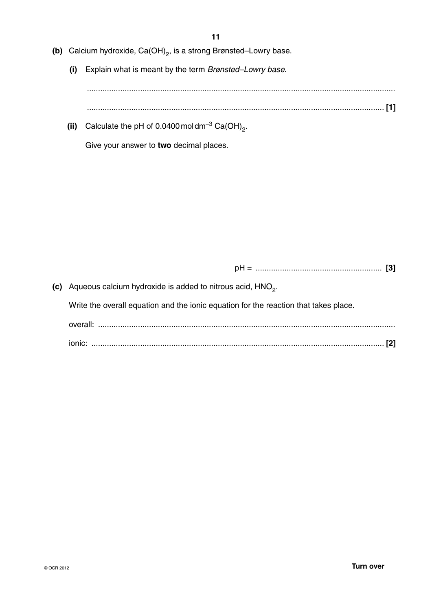- **(b)** Calcium hydroxide, Ca(OH)<sub>2</sub>, is a strong Brønsted–Lowry base.
	- **(i)** Explain what is meant by the term *Brønsted–Lowry base*.

 ........................................................................................................................................... ...................................................................................................................................... **[1]**

(ii) Calculate the pH of  $0.0400$  moldm<sup>-3</sup> Ca(OH)<sub>2</sub>.

Give your answer to **two** decimal places.

pH = ......................................................... **[3]**

**(c)** Aqueous calcium hydroxide is added to nitrous acid, HNO<sub>2</sub>.

Write the overall equation and the ionic equation for the reaction that takes place.

| overall: |  |
|----------|--|
| ionic    |  |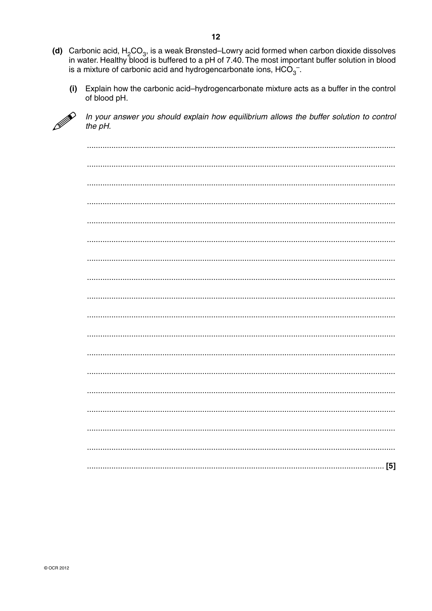- (d) Carbonic acid,  $H_2CO_3$ , is a weak Brønsted–Lowry acid formed when carbon dioxide dissolves<br>in water. Healthy blood is buffered to a pH of 7.40. The most important buffer solution in blood is a mixture of carbonic acid and hydrogencarbonate ions,  $HCO<sub>3</sub>$ .
	- Explain how the carbonic acid-hydrogencarbonate mixture acts as a buffer in the control  $(i)$ of blood pH.



In your answer you should explain how equilibrium allows the buffer solution to control the pH.

| [5] |
|-----|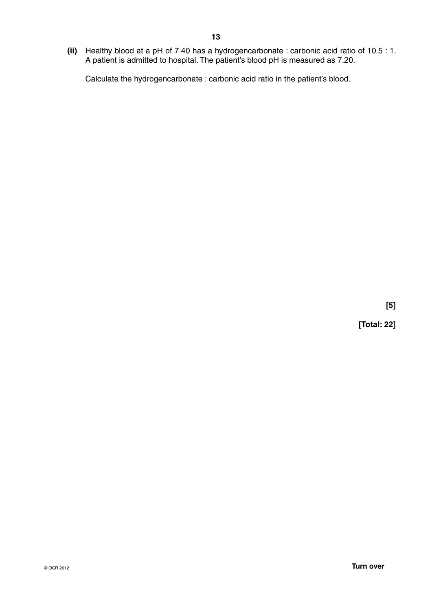**(ii)** Healthy blood at a pH of 7.40 has a hydrogencarbonate : carbonic acid ratio of 10.5 : 1. A patient is admitted to hospital. The patient's blood pH is measured as 7.20.

Calculate the hydrogencarbonate : carbonic acid ratio in the patient's blood.

**[5]**

**[Total: 22]**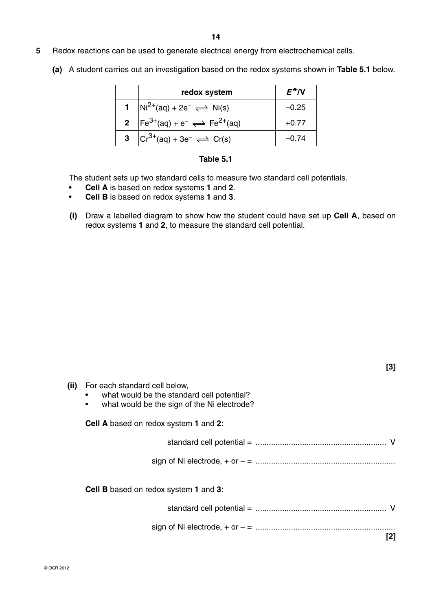- **5** Redox reactions can be used to generate electrical energy from electrochemical cells.
	- **(a)** A student carries out an investigation based on the redox systems shown in **Table 5.1** below.

| redox system                                                  | $E^{\bullet}$ /V |
|---------------------------------------------------------------|------------------|
| $Ni^{2+}(aq) + 2e^- \rightleftharpoons Ni(s)$                 | –0.25            |
| <b>2</b> $[Fe^{3+}(aq) + e^- \rightleftharpoons Fe^{2+}(aq)]$ | $+0.77$          |
| $ Cr^{3+}(aq) + 3e^- \rightleftharpoons Cr(s)$                | -0.74            |

### **Table 5.1**

The student sets up two standard cells to measure two standard cell potentials.

- **Cell A** is based on redox systems **1** and **2**.
- **Cell B** is based on redox systems **1** and **3**.
- **(i)** Draw a labelled diagram to show how the student could have set up **Cell A**, based on redox systems **1** and **2**, to measure the standard cell potential.

| [3]                                                                                                                                          |  |
|----------------------------------------------------------------------------------------------------------------------------------------------|--|
| (ii) For each standard cell below,<br>what would be the standard cell potential?<br>what would be the sign of the Ni electrode?<br>$\bullet$ |  |
| <b>Cell A</b> based on redox system 1 and 2:                                                                                                 |  |
|                                                                                                                                              |  |
|                                                                                                                                              |  |
| <b>Cell B</b> based on redox system 1 and 3:                                                                                                 |  |
|                                                                                                                                              |  |
|                                                                                                                                              |  |
| [2]                                                                                                                                          |  |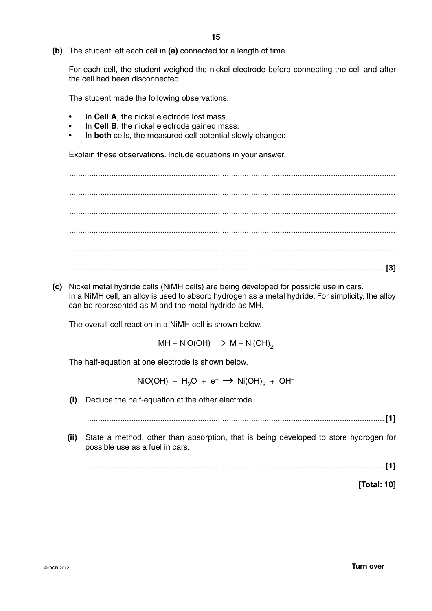**(b)** The student left each cell in **(a)** connected for a length of time.

For each cell, the student weighed the nickel electrode before connecting the cell and after the cell had been disconnected.

The student made the following observations.

- In **Cell A**, the nickel electrode lost mass.
- In **Cell B**, the nickel electrode gained mass.
- In **both** cells, the measured cell potential slowly changed.

Explain these observations. Include equations in your answer.

 ................................................................................................................................................... ................................................................................................................................................... ................................................................................................................................................... ................................................................................................................................................... ................................................................................................................................................... .............................................................................................................................................. **[3]**

 **(c)** Nickel metal hydride cells (NiMH cells) are being developed for possible use in cars. In a NiMH cell, an alloy is used to absorb hydrogen as a metal hydride. For simplicity, the alloy can be represented as M and the metal hydride as MH.

The overall cell reaction in a NiMH cell is shown below.

 $MH + NiO(OH) \rightarrow M + Ni(OH)_{2}$ 

The half-equation at one electrode is shown below.

 $NiO(OH) + H<sub>2</sub>O + e^- \rightarrow Ni(OH)<sub>2</sub> + OH^-$ 

 **(i)** Deduce the half-equation at the other electrode.

...................................................................................................................................... **[1]**

 **(ii)** State a method, other than absorption, that is being developed to store hydrogen for possible use as a fuel in cars.

...................................................................................................................................... **[1]**

**[Total: 10]**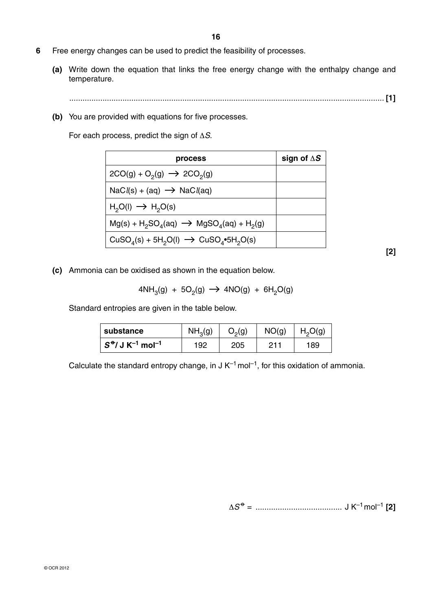- **6** Free energy changes can be used to predict the feasibility of processes.
	- **(a)** Write down the equation that links the free energy change with the enthalpy change and temperature.

.............................................................................................................................................. **[1]**

 **(b)** You are provided with equations for five processes.

For each process, predict the sign of Δ*S*.

| process                                                                                            | sign of $\Delta S$ |
|----------------------------------------------------------------------------------------------------|--------------------|
| $2CO(g) + O_2(g) \rightarrow 2CO_2(g)$                                                             |                    |
| $\text{NaCl}(s) + (aq) \rightarrow \text{NaCl}(aq)$                                                |                    |
| $H_2O(I) \rightarrow H_2O(s)$                                                                      |                    |
| $Mg(s) + H_2SO_4(aq) \rightarrow MgSO_4(aq) + H_2(g)$                                              |                    |
| CuSO <sub>4</sub> (s) + 5H <sub>2</sub> O(l) $\rightarrow$ CuSO <sub>4</sub> •5H <sub>2</sub> O(s) |                    |

**[2]**

 **(c)** Ammonia can be oxidised as shown in the equation below.

$$
4NH3(g) + 5O2(g) \rightarrow 4NO(g) + 6H2O(g)
$$

Standard entropies are given in the table below.

| substance                                                 | NH <sub>3</sub> (g) | $O_2(g)$ | NO(g) | H <sub>2</sub> O(g) |
|-----------------------------------------------------------|---------------------|----------|-------|---------------------|
| $\mid$ $S^{\bullet}/$ J K <sup>-1</sup> mol <sup>-1</sup> | 192                 | 205      | O1 1  | 189                 |

Calculate the standard entropy change, in  $J K^{-1}$  mol<sup>-1</sup>, for this oxidation of ammonia.

Δ*S*  –o– = ....................................... J K–1 mol–1 **[2]**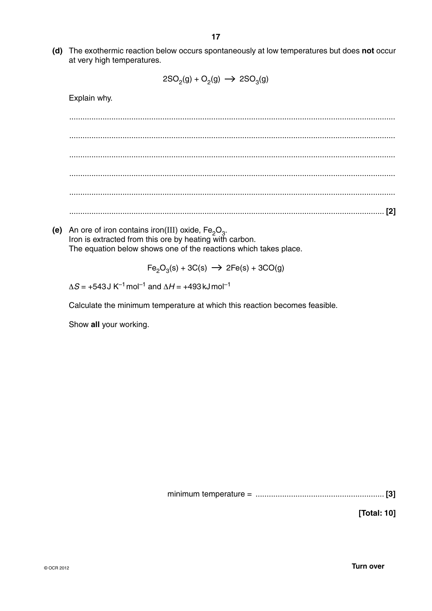**(d)** The exothermic reaction below occurs spontaneously at low temperatures but does **not** occur at very high temperatures.

$$
2SO_2(g) + O_2(g) \longrightarrow 2SO_3(g)
$$

Explain why.

 ................................................................................................................................................... ................................................................................................................................................... ................................................................................................................................................... ................................................................................................................................................... ................................................................................................................................................... .............................................................................................................................................. **[2]**

**(e)** An ore of iron contains iron(III) oxide,  $Fe<sub>2</sub>O<sub>3</sub>$ . Iron is extracted from this ore by heating with carbon. The equation below shows one of the reactions which takes place.

 $Fe<sub>2</sub>O<sub>3</sub>(s) + 3C(s)$   $\rightarrow$  2Fe(s) + 3CO(g)

 $\Delta S$  = +543 J K<sup>-1</sup> mol<sup>-1</sup> and  $\Delta H$  = +493 kJ mol<sup>-1</sup>

Calculate the minimum temperature at which this reaction becomes feasible.

Show **all** your working.

minimum temperature = .......................................................... **[3]**

**[Total: 10]**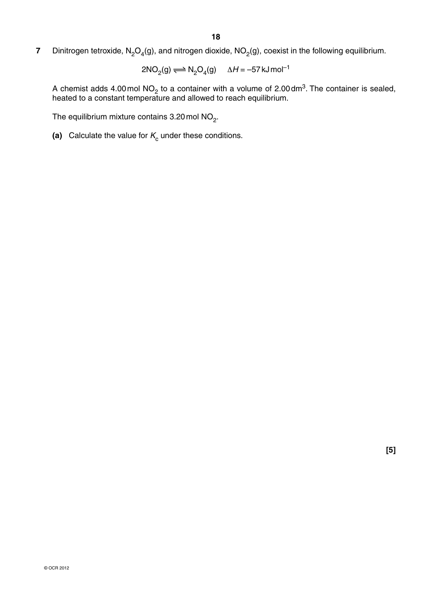**7** Dinitrogen tetroxide,  $N_2O_4(g)$ , and nitrogen dioxide,  $NO_2(g)$ , coexist in the following equilibrium.

$$
2NO2(g) \Longrightarrow N2O4(g) \qquad \Delta H = -57 \text{ kJ} \text{ mol}^{-1}
$$

A chemist adds 4.00 mol NO<sub>2</sub> to a container with a volume of 2.00 dm<sup>3</sup>. The container is sealed, heated to a constant temperature and allowed to reach equilibrium.

The equilibrium mixture contains  $3.20$  mol NO<sub>2</sub>.

(a) Calculate the value for  $K_c$  under these conditions.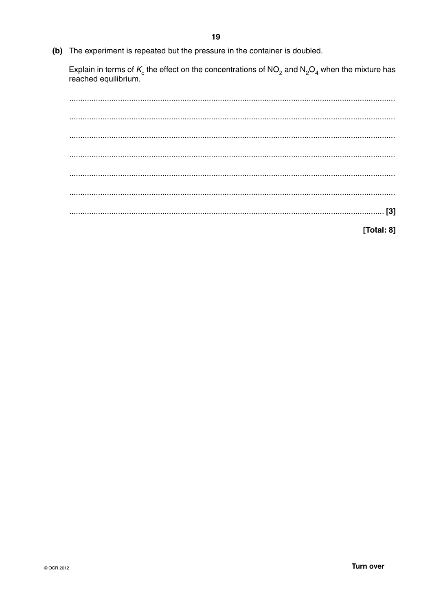(b) The experiment is repeated but the pressure in the container is doubled.

Explain in terms of  $K_c$  the effect on the concentrations of NO<sub>2</sub> and N<sub>2</sub>O<sub>4</sub> when the mixture has reached equilibrium.

[Total: 8]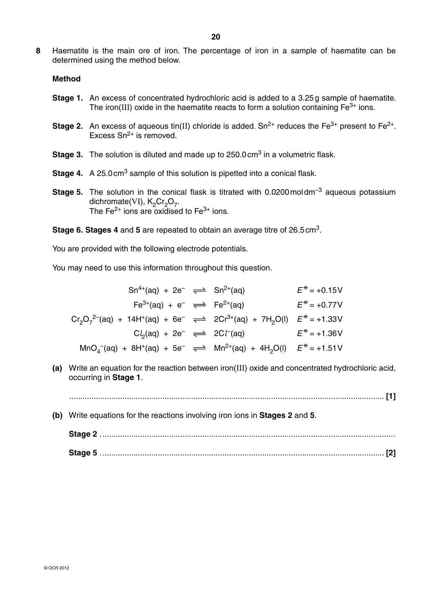**8** Haematite is the main ore of iron. The percentage of iron in a sample of haematite can be determined using the method below.

#### **Method**

- **Stage 1.** An excess of concentrated hydrochloric acid is added to a 3.25 g sample of haematite. The iron(III) oxide in the haematite reacts to form a solution containing  $Fe<sup>3+</sup>$  ions.
- **Stage 2.** An excess of aqueous tin(II) chloride is added.  $Sn^{2+}$  reduces the Fe<sup>3+</sup> present to Fe<sup>2+</sup>. Excess  $Sn^{2+}$  is removed.
- **Stage 3.** The solution is diluted and made up to 250.0 cm<sup>3</sup> in a volumetric flask.
- **Stage 4.** A 25.0 cm<sup>3</sup> sample of this solution is pipetted into a conical flask.
- **Stage 5.** The solution in the conical flask is titrated with 0.0200 moldm<sup>-3</sup> aqueous potassium dichromate(VI),  $K_2Cr_2O_7$ . The Fe<sup>2+</sup> ions are  $\alpha$  *oxidised to Fe<sup>3+</sup>* ions.

 **Stage 6. Stages 4** and **5** are repeated to obtain an average titre of 26.5 cm3.

You are provided with the following electrode potentials.

You may need to use this information throughout this question.

| $Sn^{4+}(aq) + 2e^- \implies Sn^{2+}(aq)$                                                                                                    |  | $E^{\phi}$ = +0.15V   |
|----------------------------------------------------------------------------------------------------------------------------------------------|--|-----------------------|
| $Fe^{3+}(aq) + e^{-} \implies Fe^{2+}(aq)$                                                                                                   |  | $E^{\phi}$ = +0.77V   |
| $Cr_2O_7^{2-}$ (aq) + 14H <sup>+</sup> (aq) + 6e <sup>-</sup> $\implies$ 2Cr <sup>3+</sup> (aq) + 7H <sub>2</sub> O(l) $E^{\oplus}$ = +1.33V |  |                       |
| $Cl2(aq) + 2e^- \implies 2Cl-(aq)$                                                                                                           |  | $E^{\theta} = +1.36V$ |
| $MnOa-(aq) + 8H+(aq) + 5e^- \implies Mn2+(aq) + 4H2O(l)$ $E0 = +1.51V$                                                                       |  |                       |

 **(a)** Write an equation for the reaction between iron(III) oxide and concentrated hydrochloric acid, occurring in **Stage 1**.

.............................................................................................................................................. **[1]**

 **(b)** Write equations for the reactions involving iron ions in **Stages 2** and **5**.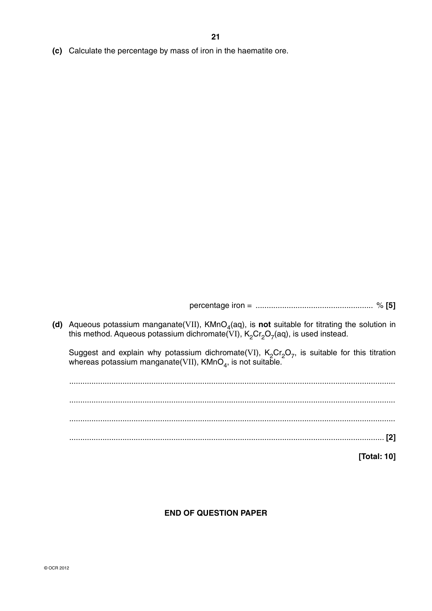**(c)** Calculate the percentage by mass of iron in the haematite ore.

percentage iron = ..................................................... % **[5]**

(d) Aqueous potassium manganate(VII), KMnO<sub>4</sub>(aq), is not suitable for titrating the solution in this method. Aqueous potassium dichromate(VI),  $K_2Cr_2O_7(aq)$ , is used instead.

Suggest and explain why potassium dichromate(VI),  $K_2Cr_2O_7$ , is suitable for this titration whereas potassium manganate(VII), KMnO $_4$ , is not suita $\bar{\rm b}$ le.

 ................................................................................................................................................... ................................................................................................................................................... ................................................................................................................................................... .............................................................................................................................................. **[2] [Total: 10]**

## **END OF QUESTION PAPER**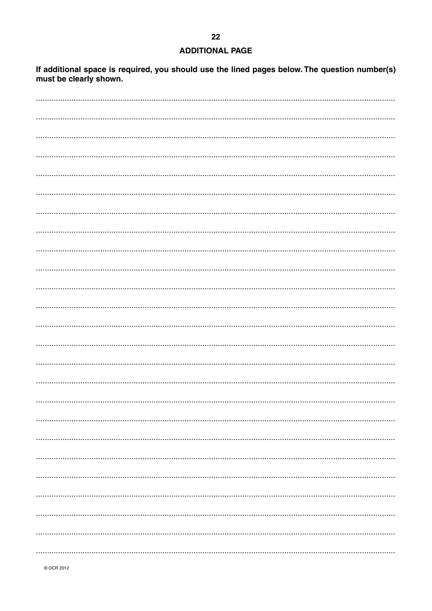## **ADDITIONAL PAGE**

If additional space is required, you should use the lined pages below. The question number(s) must be clearly shown.

© OCR 2012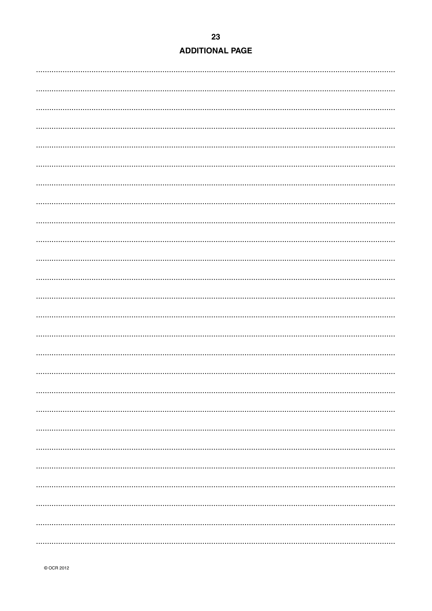| <b>ADDITIONAL PAGE</b> |  |  |  |
|------------------------|--|--|--|
|                        |  |  |  |